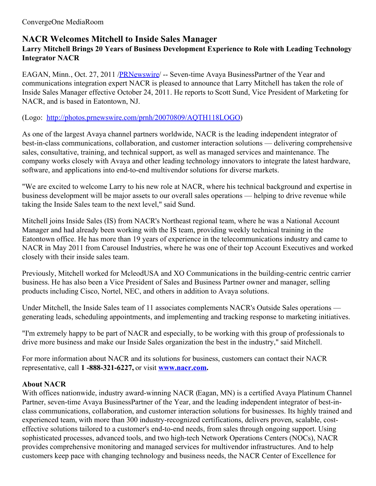# **NACR Welcomes Mitchell to Inside Sales Manager**

## **Larry Mitchell Brings 20 Years of Business Development Experience to Role with Leading Technology Integrator NACR**

EAGAN, Minn., Oct. 27, 2011 [/PRNewswire](http://www.prnewswire.com/)/ -- Seven-time Avaya BusinessPartner of the Year and communications integration expert NACR is pleased to announce that Larry Mitchell has taken the role of Inside Sales Manager effective October 24, 2011. He reports to Scott Sund, Vice President of Marketing for NACR, and is based in Eatontown, NJ.

### (Logo: <http://photos.prnewswire.com/prnh/20070809/AQTH118LOGO>)

As one of the largest Avaya channel partners worldwide, NACR is the leading independent integrator of best-in-class communications, collaboration, and customer interaction solutions — delivering comprehensive sales, consultative, training, and technical support, as well as managed services and maintenance. The company works closely with Avaya and other leading technology innovators to integrate the latest hardware, software, and applications into end-to-end multivendor solutions for diverse markets.

"We are excited to welcome Larry to his new role at NACR, where his technical background and expertise in business development will be major assets to our overall sales operations — helping to drive revenue while taking the Inside Sales team to the next level," said Sund.

Mitchell joins Inside Sales (IS) from NACR's Northeast regional team, where he was a National Account Manager and had already been working with the IS team, providing weekly technical training in the Eatontown office. He has more than 19 years of experience in the telecommunications industry and came to NACR in May 2011 from Carousel Industries, where he was one of their top Account Executives and worked closely with their inside sales team.

Previously, Mitchell worked for McleodUSA and XO Communications in the building-centric centric carrier business. He has also been a Vice President of Sales and Business Partner owner and manager, selling products including Cisco, Nortel, NEC, and others in addition to Avaya solutions.

Under Mitchell, the Inside Sales team of 11 associates complements NACR's Outside Sales operations generating leads, scheduling appointments, and implementing and tracking response to marketing initiatives.

"I'm extremely happy to be part of NACR and especially, to be working with this group of professionals to drive more business and make our Inside Sales organization the best in the industry," said Mitchell.

For more information about NACR and its solutions for business, customers can contact their NACR representative, call **1 -888-321-6227,** or visit **[www.nacr.com](http://www.nacr.com).**

## **About NACR**

With offices nationwide, industry award-winning NACR (Eagan, MN) is a certified Avaya Platinum Channel Partner, seven-time Avaya BusinessPartner of the Year, and the leading independent integrator of best-inclass communications, collaboration, and customer interaction solutions for businesses. Its highly trained and experienced team, with more than 300 industry-recognized certifications, delivers proven, scalable, costeffective solutions tailored to a customer's end-to-end needs, from sales through ongoing support. Using sophisticated processes, advanced tools, and two high-tech Network Operations Centers (NOCs), NACR provides comprehensive monitoring and managed services for multivendor infrastructures. And to help customers keep pace with changing technology and business needs, the NACR Center of Excellence for